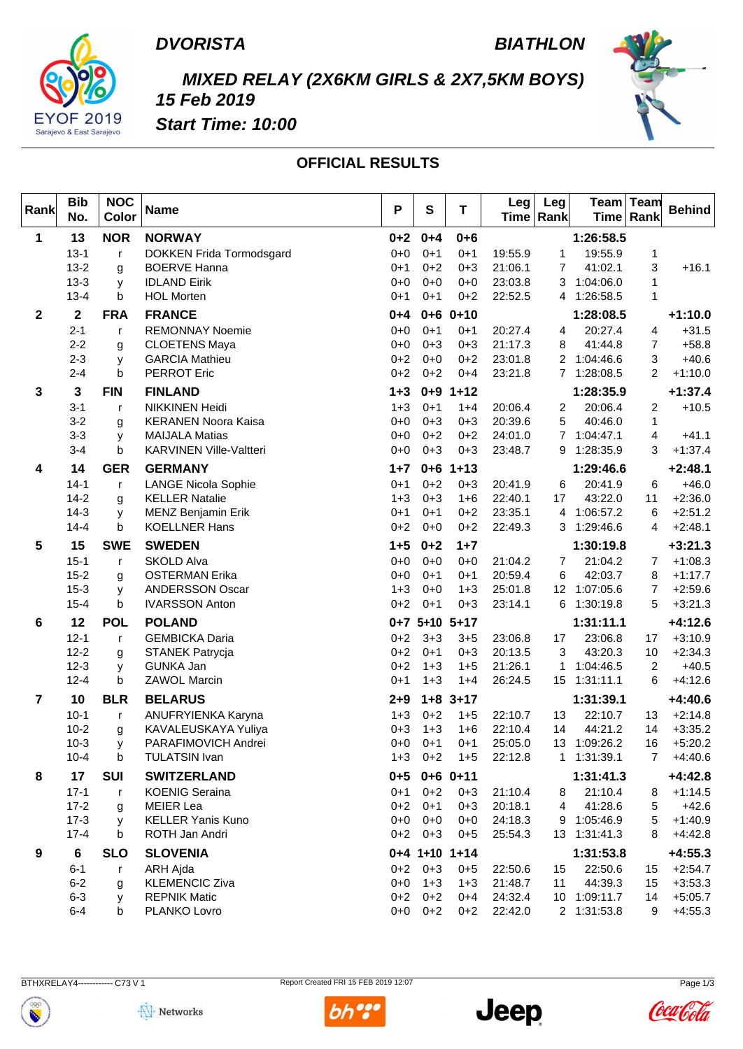

### *BIATHLON*



## *MIXED RELAY (2X6KM GIRLS & 2X7,5KM BOYS) 15 Feb 2019*



*Start Time: 10:00*

### **OFFICIAL RESULTS**

| Rank           | <b>Bib</b><br>No. | <b>NOC</b><br>Color | <b>Name</b>                    | P       | S                  | $\mathsf T$      | Leg <br>Time   Rank | Leg            | Team         | ∣Team<br>Time   Rank | <b>Behind</b> |
|----------------|-------------------|---------------------|--------------------------------|---------|--------------------|------------------|---------------------|----------------|--------------|----------------------|---------------|
| $\mathbf 1$    | 13                | <b>NOR</b>          | <b>NORWAY</b>                  | $0 + 2$ | $0 + 4$            | $0 + 6$          |                     |                | 1:26:58.5    |                      |               |
|                | $13 - 1$          | - r                 | DOKKEN Frida Tormodsgard       | $0 + 0$ | $0+1$              | $0+1$            | 19:55.9             | 1              | 19:55.9      | 1                    |               |
|                | $13 - 2$          | g                   | <b>BOERVE Hanna</b>            | $0 + 1$ | $0 + 2$            | $0 + 3$          | 21:06.1             | $\overline{7}$ | 41:02.1      | 3                    | $+16.1$       |
|                | $13 - 3$          | $\mathsf{V}$        | <b>IDLAND Eirik</b>            | $0 + 0$ | $0 + 0$            | $0 + 0$          | 23:03.8             |                | 3 1:04:06.0  | 1                    |               |
|                | $13 - 4$          | b                   | <b>HOL Morten</b>              | 0+1     | $0+1$              | $0+2$            | 22:52.5             |                | 4 1:26:58.5  | 1                    |               |
| $\mathbf{2}$   | $\mathbf{2}$      | <b>FRA</b>          | <b>FRANCE</b>                  | $0 + 4$ | $0 + 6$            | $0 + 10$         |                     |                | 1:28:08.5    |                      | $+1:10.0$     |
|                | $2 - 1$           | $\mathsf{r}$        | <b>REMONNAY Noemie</b>         | 0+0     | $0+1$              | $0+1$            | 20:27.4             | 4              | 20:27.4      | 4                    | $+31.5$       |
|                | $2 - 2$           | g                   | <b>CLOETENS Maya</b>           | 0+0     | $0 + 3$            | $0 + 3$          | 21:17.3             | 8              | 41:44.8      | $\overline{7}$       | $+58.8$       |
|                | $2 - 3$           | y                   | <b>GARCIA Mathieu</b>          | $0 + 2$ | $0 + 0$            | $0+2$            | 23:01.8             | $\overline{2}$ | 1:04:46.6    | 3                    | $+40.6$       |
|                | $2 - 4$           | b                   | <b>PERROT Eric</b>             | $0 + 2$ | $0 + 2$            | $0 + 4$          | 23:21.8             |                | 7 1:28:08.5  | $\overline{2}$       | $+1:10.0$     |
| 3              | 3                 | <b>FIN</b>          | <b>FINLAND</b>                 | $1 + 3$ | $0 + 9$            | $1 + 12$         |                     |                | 1:28:35.9    |                      | $+1:37.4$     |
|                | $3 - 1$           | - r                 | <b>NIKKINEN Heidi</b>          | $1 + 3$ | $0+1$              | $1 + 4$          | 20:06.4             | $\overline{2}$ | 20:06.4      | $\overline{2}$       | $+10.5$       |
|                | $3 - 2$           | g                   | <b>KERANEN Noora Kaisa</b>     | 0+0     | $0 + 3$            | $0 + 3$          | 20:39.6             | 5              | 40:46.0      | $\mathbf{1}$         |               |
|                | $3 - 3$           | V                   | <b>MAIJALA Matias</b>          | 0+0     | $0 + 2$            | $0+2$            | 24:01.0             |                | 7 1:04:47.1  | 4                    | $+41.1$       |
|                | $3 - 4$           | b                   | <b>KARVINEN Ville-Valtteri</b> | $0 + 0$ | $0 + 3$            | $0 + 3$          | 23:48.7             |                | 9 1:28:35.9  | 3                    | $+1:37.4$     |
| 4              | 14                | <b>GER</b>          | <b>GERMANY</b>                 | $1 + 7$ | $0 + 6$            | $1 + 13$         |                     |                | 1:29:46.6    |                      | $+2:48.1$     |
|                | $14 - 1$          | $\mathsf{r}$        | <b>LANGE Nicola Sophie</b>     | $0 + 1$ | $0 + 2$            | $0 + 3$          | 20:41.9             | 6              | 20:41.9      | 6                    | $+46.0$       |
|                | $14-2$            | g                   | <b>KELLER Natalie</b>          | $1 + 3$ | $0 + 3$            | $1 + 6$          | 22:40.1             | 17             | 43:22.0      | 11                   | $+2:36.0$     |
|                | $14-3$            | y                   | MENZ Benjamin Erik             | 0+1     | $0+1$              | $0+2$            | 23:35.1             |                | 4 1:06:57.2  | 6                    | $+2:51.2$     |
|                | $14 - 4$          | b                   | <b>KOELLNER Hans</b>           | $0 + 2$ | $0 + 0$            | $0+2$            | 22:49.3             |                | 3 1:29:46.6  | 4                    | $+2:48.1$     |
| 5              | 15                | <b>SWE</b>          | <b>SWEDEN</b>                  | $1 + 5$ | $0 + 2$            | $1 + 7$          |                     |                | 1:30:19.8    |                      | $+3:21.3$     |
|                | $15 - 1$          | $\mathsf{r}$        | <b>SKOLD Alva</b>              | $0 + 0$ | $0 + 0$            | $0 + 0$          | 21:04.2             | 7              | 21:04.2      | $\overline{7}$       | $+1:08.3$     |
|                | $15 - 2$          | g                   | <b>OSTERMAN Erika</b>          | $0 + 0$ | $0+1$              | $0+1$            | 20:59.4             | 6              | 42:03.7      | 8                    | $+1:17.7$     |
|                | $15 - 3$          | y                   | <b>ANDERSSON Oscar</b>         | $1 + 3$ | $0 + 0$            | $1 + 3$          | 25:01.8             | 12             | 1:07:05.6    | $\overline{7}$       | $+2:59.6$     |
|                | $15 - 4$          | b                   | <b>IVARSSON Anton</b>          | $0 + 2$ | $0+1$              | $0 + 3$          | 23:14.1             | 6              | 1:30:19.8    | 5                    | $+3:21.3$     |
| 6              | 12                | <b>POL</b>          | <b>POLAND</b>                  |         | 0+7 5+10 5+17      |                  |                     |                | 1:31:11.1    |                      | $+4:12.6$     |
|                | $12 - 1$          | $\mathsf{r}$        | <b>GEMBICKA Daria</b>          | $0 + 2$ | $3 + 3$            | $3 + 5$          | 23:06.8             | 17             | 23:06.8      | 17                   | $+3:10.9$     |
|                | $12 - 2$          | g                   | <b>STANEK Patrycja</b>         | $0 + 2$ | $0+1$              | $0 + 3$          | 20:13.5             | 3              | 43:20.3      | 10                   | $+2:34.3$     |
|                | $12 - 3$          | V                   | <b>GUNKA Jan</b>               | 0+2     | $1 + 3$            | $1 + 5$          | 21:26.1             | $\mathbf{1}$   | 1:04:46.5    | 2                    | $+40.5$       |
|                | $12 - 4$          | b                   | <b>ZAWOL Marcin</b>            | 0+1     | $1 + 3$            | $1+4$            | 26:24.5             |                | 15 1:31:11.1 | 6                    | $+4:12.6$     |
| $\overline{7}$ | 10                | <b>BLR</b>          | <b>BELARUS</b>                 | $2 + 9$ | $1 + 8$            | $3 + 17$         |                     |                | 1:31:39.1    |                      | $+4:40.6$     |
|                |                   |                     |                                |         |                    |                  |                     |                | 22:10.7      |                      | $+2:14.8$     |
|                | $10 - 1$          | $\mathsf{r}$        | ANUFRYIENKA Karyna             | $1 + 3$ | $0 + 2$<br>$1 + 3$ | $1+5$<br>$1 + 6$ | 22:10.7             | 13             |              | 13                   |               |
|                | $10 - 2$          | g                   | KAVALEUSKAYA Yuliya            | 0+3     |                    |                  | 22:10.4             | 14             | 44:21.2      | 14                   | $+3:35.2$     |
|                | $10-3$            | V                   | PARAFIMOVICH Andrei            | 0+0     | $0 + 1$            | $0 + 1$          | 25:05.0             |                | 13 1:09:26.2 | 16                   | $+5:20.2$     |
|                | 10-4              | b                   | TULATSIN Ivan                  |         | 1+3 0+2            | $1 + 5$          | 22:12.8             |                | 1 1:31:39.1  |                      | +4:40.6       |
| 8              | 17                | <b>SUI</b>          | <b>SWITZERLAND</b>             |         |                    | $0+5$ 0+6 0+11   |                     |                | 1:31:41.3    |                      | $+4:42.8$     |
|                | $17 - 1$          | $\mathsf{r}$        | <b>KOENIG Seraina</b>          | $0 + 1$ | $0 + 2$            | $0 + 3$          | 21:10.4             | 8              | 21:10.4      | 8                    | $+1:14.5$     |
|                | $17-2$            | g                   | MEIER Lea                      | $0 + 2$ | $0 + 1$            | $0 + 3$          | 20:18.1             | 4              | 41:28.6      | 5                    | $+42.6$       |
|                | $17-3$            | y                   | <b>KELLER Yanis Kuno</b>       | $0 + 0$ | $0 + 0$            | $0 + 0$          | 24:18.3             |                | 9 1:05:46.9  | 5                    | $+1:40.9$     |
|                | $17 - 4$          | b                   | ROTH Jan Andri                 |         | $0+2$ 0+3          | $0 + 5$          | 25:54.3             |                | 13 1:31:41.3 | 8                    | $+4:42.8$     |
| 9              | $6\phantom{1}6$   | <b>SLO</b>          | <b>SLOVENIA</b>                |         |                    | $0+4$ 1+10 1+14  |                     |                | 1:31:53.8    |                      | $+4:55.3$     |
|                | $6 - 1$           | $\mathsf{r}$        | <b>ARH Ajda</b>                |         | $0+2$ 0+3          | $0 + 5$          | 22:50.6             | 15             | 22:50.6      | 15                   | $+2:54.7$     |
|                | $6 - 2$           | g                   | <b>KLEMENCIC Ziva</b>          | $0+0$   | $1 + 3$            | $1 + 3$          | 21:48.7             | 11             | 44:39.3      | 15                   | $+3:53.3$     |
|                | $6 - 3$           | y                   | <b>REPNIK Matic</b>            |         | $0+2$ 0+2          | $0 + 4$          | 24:32.4             |                | 10 1:09:11.7 | 14                   | $+5:05.7$     |
|                | $6 - 4$           | b                   | PLANKO Lovro                   |         | $0+0$ 0+2          | $0 + 2$          | 22:42.0             |                | 2 1:31:53.8  |                      | $9 + 4:55.3$  |

BTHXRELAY4------------ C73 V 1

Report Created FRI 15 FEB 2019 12:07 Page 1/3







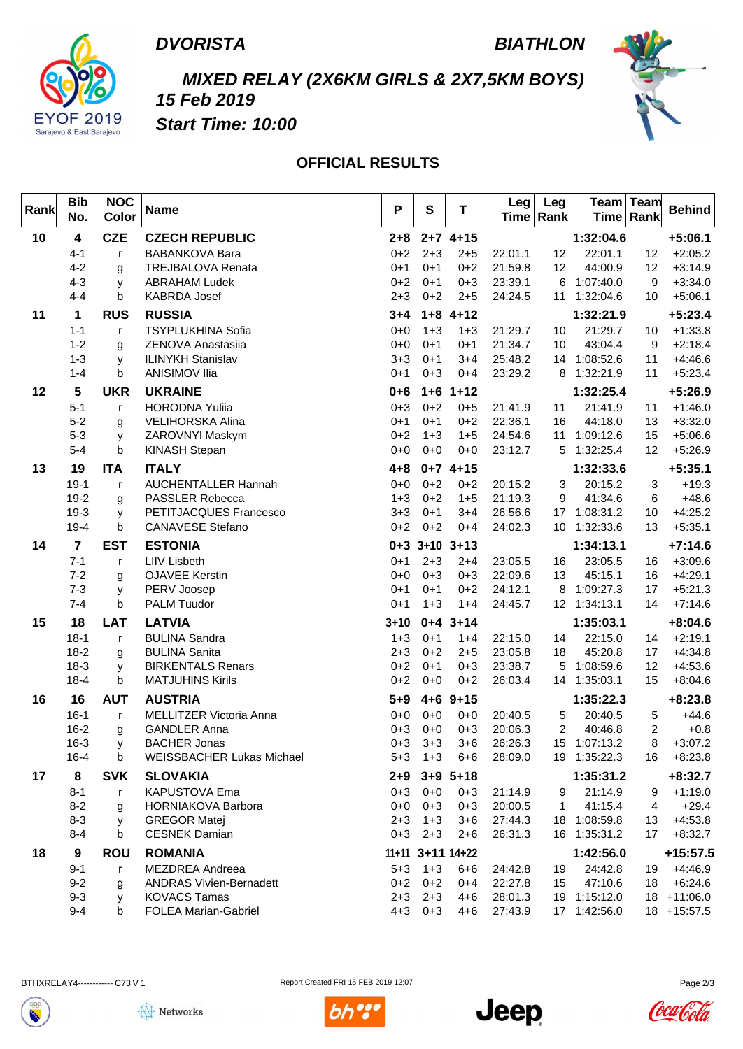

### **BIATHLON**



# MIXED RELAY (2X6KM GIRLS & 2X7,5KM BOYS) 15 Feb 2019



**Start Time: 10:00** 

### **OFFICIAL RESULTS**

| Rank | <b>Bib</b><br>No.       | <b>NOC</b><br>Color | <b>Name</b>                                           | P                  | ${\bf S}$          | T                  | Leg                | Leg<br>Time Rank |                         | Team Team<br>Time Rank | <b>Behind</b>            |
|------|-------------------------|---------------------|-------------------------------------------------------|--------------------|--------------------|--------------------|--------------------|------------------|-------------------------|------------------------|--------------------------|
| 10   | $\overline{\mathbf{4}}$ | <b>CZE</b>          | <b>CZECH REPUBLIC</b>                                 | $2 + 8$            |                    | $2+7$ 4+15         |                    |                  | 1:32:04.6               |                        | $+5:06.1$                |
|      | $4 - 1$                 | r                   | <b>BABANKOVA Bara</b>                                 | $0 + 2$            | $2 + 3$            | $2 + 5$            | 22:01.1            | 12               | 22:01.1                 | 12                     | $+2:05.2$                |
|      | $4 - 2$                 | g                   | <b>TREJBALOVA Renata</b>                              | $0 + 1$            | $0 + 1$            | $0 + 2$            | 21:59.8            | 12               | 44:00.9                 | 12                     | $+3:14.9$                |
|      | $4 - 3$                 | У                   | <b>ABRAHAM Ludek</b>                                  | $0 + 2$            | $0 + 1$            | $0 + 3$            | 23:39.1            | 6                | 1:07:40.0               | 9                      | $+3:34.0$                |
|      | $4 - 4$                 | b                   | KABRDA Josef                                          | $2 + 3$            | $0 + 2$            | $2 + 5$            | 24:24.5            | 11               | 1:32:04.6               | 10                     | $+5:06.1$                |
| 11   | 1                       | <b>RUS</b>          | <b>RUSSIA</b>                                         | $3 + 4$            |                    | $1+8$ 4+12         |                    |                  | 1:32:21.9               |                        | $+5:23.4$                |
|      | $1 - 1$                 | r                   | <b>TSYPLUKHINA Sofia</b>                              | $0 + 0$            | $1 + 3$            | $1 + 3$            | 21:29.7            | 10               | 21:29.7                 | 10                     | $+1:33.8$                |
|      | $1 - 2$                 | g                   | ZENOVA Anastasiia                                     | $0 + 0$            | $0 + 1$            | $0 + 1$            | 21:34.7            | 10               | 43:04.4                 | 9                      | $+2:18.4$                |
|      | $1 - 3$<br>$1 - 4$      | У                   | <b>ILINYKH Stanislav</b><br><b>ANISIMOV Ilia</b>      | $3 + 3$            | $0 + 1$<br>$0 + 3$ | $3 + 4$            | 25:48.2            | 14               | 1:08:52.6               | 11<br>11               | $+4:46.6$                |
|      |                         | b                   |                                                       | $0 + 1$            |                    | $0 + 4$            | 23:29.2            | 8                | 1:32:21.9               |                        | $+5:23.4$                |
| 12   | 5                       | <b>UKR</b>          | <b>UKRAINE</b>                                        | $0 + 6$            |                    | $1+6$ 1+12         |                    |                  | 1:32:25.4               |                        | $+5:26.9$                |
|      | $5 - 1$                 | $\mathsf{r}$        | <b>HORODNA Yuliia</b>                                 | $0 + 3$            | $0 + 2$            | $0 + 5$            | 21:41.9            | 11               | 21:41.9                 | 11                     | $+1:46.0$                |
|      | $5 - 2$<br>$5 - 3$      | g                   | <b>VELIHORSKA Alina</b><br>ZAROVNYI Maskym            | $0 + 1$<br>$0 + 2$ | $0 + 1$<br>$1 + 3$ | $0 + 2$<br>$1 + 5$ | 22:36.1<br>24:54.6 | 16<br>11         | 44:18.0<br>1:09:12.6    | 13<br>15               | $+3:32.0$<br>$+5:06.6$   |
|      | $5 - 4$                 | У<br>b              | KINASH Stepan                                         | $0 + 0$            | $0 + 0$            | $0 + 0$            | 23:12.7            | 5                | 1:32:25.4               | 12                     | $+5:26.9$                |
| 13   | 19                      | <b>ITA</b>          | <b>ITALY</b>                                          | $4 + 8$            |                    | $0+7$ 4+15         |                    |                  | 1:32:33.6               |                        | $+5:35.1$                |
|      | $19-1$                  | r                   | <b>AUCHENTALLER Hannah</b>                            | $0 + 0$            | $0 + 2$            | $0 + 2$            | 20:15.2            | 3                | 20:15.2                 | 3                      | $+19.3$                  |
|      | $19-2$                  | g                   | PASSLER Rebecca                                       | $1 + 3$            | $0 + 2$            | $1 + 5$            | 21:19.3            | 9                | 41:34.6                 | 6                      | $+48.6$                  |
|      | $19-3$                  | У                   | PETITJACQUES Francesco                                | $3 + 3$            | $0 + 1$            | $3 + 4$            | 26:56.6            | 17               | 1:08:31.2               | 10                     | $+4:25.2$                |
|      | $19 - 4$                | b                   | <b>CANAVESE Stefano</b>                               | $0 + 2$            | $0 + 2$            | $0 + 4$            | 24:02.3            | 10               | 1:32:33.6               | 13                     | $+5:35.1$                |
| 14   | $\overline{7}$          | <b>EST</b>          | <b>ESTONIA</b>                                        |                    |                    | $0+3$ 3+10 3+13    |                    |                  | 1:34:13.1               |                        | $+7:14.6$                |
|      | $7 - 1$                 | $\mathsf{r}$        | <b>LIIV Lisbeth</b>                                   | $0 + 1$            | $2 + 3$            | $2+4$              | 23:05.5            | 16               | 23:05.5                 | 16                     | $+3:09.6$                |
|      | $7 - 2$                 | g                   | <b>OJAVEE Kerstin</b>                                 | $0 + 0$            | $0 + 3$            | $0 + 3$            | 22:09.6            | 13               | 45:15.1                 | 16                     | $+4:29.1$                |
|      | $7 - 3$                 | у                   | PERV Joosep                                           | $0 + 1$            | $0 + 1$            | $0 + 2$            | 24:12.1            | 8                | 1:09:27.3               | 17                     | $+5:21.3$                |
|      | $7 - 4$                 | b                   | <b>PALM Tuudor</b>                                    | $0 + 1$            | $1 + 3$            | $1 + 4$            | 24:45.7            |                  | 12 1:34:13.1            | 14                     | $+7:14.6$                |
| 15   | 18                      | <b>LAT</b>          | <b>LATVIA</b>                                         | $3 + 10$           |                    | $0+4$ 3+14         |                    |                  | 1:35:03.1               |                        | $+8:04.6$                |
|      | $18-1$                  | $\mathsf{r}$        | <b>BULINA Sandra</b>                                  | $1 + 3$            | $0 + 1$            | $1 + 4$            | 22:15.0            | 14               | 22:15.0                 | 14                     | $+2:19.1$                |
|      | $18-2$<br>$18-3$        | g<br>у              | <b>BULINA Sanita</b><br><b>BIRKENTALS Renars</b>      | $2 + 3$<br>$0 + 2$ | $0 + 2$<br>$0 + 1$ | $2 + 5$<br>$0 + 3$ | 23:05.8<br>23:38.7 | 18<br>5          | 45:20.8<br>1:08:59.6    | 17<br>12               | $+4:34.8$<br>$+4:53.6$   |
|      | $18 - 4$                | b                   | <b>MATJUHINS Kirils</b>                               | $0 + 2$            | $0 + 0$            | $0 + 2$            | 26:03.4            |                  | 14 1:35:03.1            | 15                     | $+8:04.6$                |
| 16   | 16                      | <b>AUT</b>          | <b>AUSTRIA</b>                                        | $5 + 9$            |                    | $4+6$ 9+15         |                    |                  | 1:35:22.3               |                        | $+8:23.8$                |
|      | $16-1$                  | $\mathsf{r}$        | MELLITZER Victoria Anna                               | $0 + 0$            | $0 + 0$            | $0 + 0$            | 20:40.5            | 5                | 20:40.5                 | 5                      | $+44.6$                  |
|      | $16 - 2$                | g                   | <b>GANDLER Anna</b>                                   | $0 + 3$            | $0 + 0$            | $0 + 3$            | 20:06.3            | 2                | 40:46.8                 | 2                      | $+0.8$                   |
|      | $16 - 3$                | У                   | <b>BACHER Jonas</b>                                   | $0 + 3$            | $3 + 3$            | $3 + 6$            | 26:26.3            | 15 <sub>1</sub>  | 1:07:13.2               | 8                      | $+3:07.2$                |
|      | $16 - 4$                | b                   | <b>WEISSBACHER Lukas Michael</b>                      | $5 + 3$            | $1 + 3$            | $6 + 6$            | 28:09.0            |                  | 19 1:35:22.3            | 16                     | $+8:23.8$                |
| 17   | 8                       | <b>SVK</b>          | <b>SLOVAKIA</b>                                       | $2 + 9$            |                    | $3+9$ 5+18         |                    |                  | 1:35:31.2               |                        | $+8:32.7$                |
|      | $8 - 1$                 | $\mathsf{r}$        | KAPUSTOVA Ema                                         | $0 + 3$            | $0+0$              | $0 + 3$            | 21:14.9            | 9                | 21:14.9                 | 9                      | $+1:19.0$                |
|      | $8 - 2$                 | g                   | HORNIAKOVA Barbora                                    | $0+0$              | $0 + 3$            | $0 + 3$            | 20:00.5            | 1                | 41:15.4                 | 4                      | $+29.4$                  |
|      | $8 - 3$                 | У                   | <b>GREGOR Matej</b>                                   | $2 + 3$            | $1 + 3$            | $3 + 6$            | 27:44.3            | 18               | 1:08:59.8               | 13                     | $+4:53.8$                |
|      | $8 - 4$                 | b                   | <b>CESNEK Damian</b>                                  | $0 + 3$            | $2 + 3$            | $2 + 6$            | 26:31.3            |                  | 16 1:35:31.2            | 17                     | $+8:32.7$                |
| 18   | $\boldsymbol{9}$        | <b>ROU</b>          | <b>ROMANIA</b>                                        |                    |                    | 11+11 3+11 14+22   |                    |                  | 1:42:56.0               |                        | +15:57.5                 |
|      | $9 - 1$                 | r                   | MEZDREA Andreea                                       | $5 + 3$            | $1 + 3$            | $6 + 6$            | 24:42.8            | 19               | 24:42.8                 | 19                     | $+4:46.9$                |
|      | $9-2$<br>$9 - 3$        | g                   | <b>ANDRAS Vivien-Bernadett</b><br><b>KOVACS Tamas</b> | $0 + 2$<br>$2 + 3$ | $0 + 2$<br>$2 + 3$ | $0 + 4$<br>$4 + 6$ | 22:27.8<br>28:01.3 | 15               | 47:10.6<br>19 1:15:12.0 | 18                     | $+6:24.6$<br>18 +11:06.0 |
|      | $9 - 4$                 | У<br>b              | <b>FOLEA Marian-Gabriel</b>                           | $4 + 3$            | $0 + 3$            | $4 + 6$            | 27:43.9            |                  | 17 1:42:56.0            |                        | 18 +15:57.5              |
|      |                         |                     |                                                       |                    |                    |                    |                    |                  |                         |                        |                          |

Report Created FRI 15 FEB 2019 12:07









Page  $2/3$